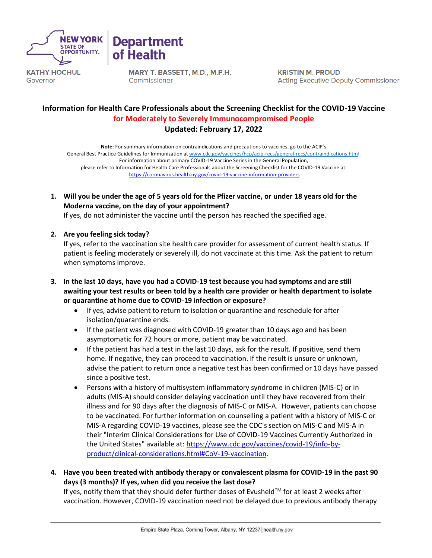



**KATHY HOCHUL** Governor

MARY T. BASSETT, M.D., M.P.H. Commissioner

**KRISTIN M. PROUD Acting Executive Deputy Commissioner** 

# **Information for Health Care Professionals about the Screening Checklist for the COVID-19 Vaccine for Moderately to Severely Immunocompromised People Updated: February 17, 2022**

**Note:** For summary information on contraindications and precautions to vaccines, go to the ACIP's General Best Practice Guidelines for Immunization at [www.cdc.gov/vaccines/hcp/acip-recs/general-recs/contraindications.html.](http://www.cdc.gov/vaccines/hcp/acip-recs/general-recs/contraindications.html) For information about primary COVID-19 Vaccine Series in the General Population, please refer to Information for Health Care Professionals about the Screening Checklist for the COVID-19 Vaccine at: <https://coronavirus.health.ny.gov/covid-19-vaccine-information-providers>

**1. Will you be under the age of 5 years old for the Pfizer vaccine, or under 18 years old for the Moderna vaccine, on the day of your appointment?** 

If yes, do not administer the vaccine until the person has reached the specified age.

#### **2. Are you feeling sick today?**

If yes, refer to the vaccination site health care provider for assessment of current health status. If patient is feeling moderately or severely ill, do not vaccinate at this time. Ask the patient to return when symptoms improve.

- **3. In the last 10 days, have you had a COVID-19 test because you had symptoms and are still awaiting your test results or been told by a health care provider or health department to isolate or quarantine at home due to COVID-19 infection or exposure?**
	- If yes, advise patient to return to isolation or quarantine and reschedule for after isolation/quarantine ends.
	- If the patient was diagnosed with COVID-19 greater than 10 days ago and has been asymptomatic for 72 hours or more, patient may be vaccinated.
	- If the patient has had a test in the last 10 days, ask for the result. If positive, send them home. If negative, they can proceed to vaccination. If the result is unsure or unknown, advise the patient to return once a negative test has been confirmed or 10 days have passed since a positive test.
	- Persons with a history of multisystem inflammatory syndrome in children (MIS-C) or in adults (MIS-A) should consider delaying vaccination until they have recovered from their illness and for 90 days after the diagnosis of MIS-C or MIS-A. However, patients can choose to be vaccinated. For further information on counselling a patient with a history of MIS-C or MIS-A regarding COVID-19 vaccines, please see the CDC's section on MIS-C and MIS-A in their "Interim Clinical Considerations for Use of COVID-19 Vaccines Currently Authorized in the United States" available at: [https://www.cdc.gov/vaccines/covid-19/info-by](https://www.cdc.gov/vaccines/covid-19/info-by-product/clinical-considerations.html#CoV-19-vaccination)[product/clinical-considerations.html#CoV-19-vaccination.](https://www.cdc.gov/vaccines/covid-19/info-by-product/clinical-considerations.html#CoV-19-vaccination)
- **4. Have you been treated with antibody therapy or convalescent plasma for COVID-19 in the past 90 days (3 months)? If yes, when did you receive the last dose?**

If yes, notify them that they should defer further doses of Evusheld™ for at least 2 weeks after vaccination. However, COVID-19 vaccination need not be delayed due to previous antibody therapy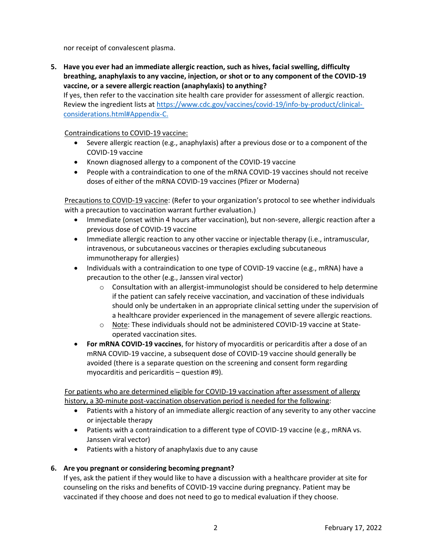nor receipt of convalescent plasma.

**5. Have you ever had an immediate allergic reaction, such as hives, facial swelling, difficulty breathing, anaphylaxis to any vaccine, injection, or shot or to any component of the COVID-19 vaccine, or a severe allergic reaction (anaphylaxis) to anything?**

If yes, then refer to the vaccination site health care provider for assessment of allergic reaction. Review the ingredient lists at [https://www.cdc.gov/vaccines/covid-19/info-by-product/clinical](https://www.cdc.gov/vaccines/covid-19/info-by-product/clinical-considerations.html#Appendix-C)[considerations.html#Appendix-C.](https://www.cdc.gov/vaccines/covid-19/info-by-product/clinical-considerations.html#Appendix-C)

Contraindications to COVID-19 vaccine:

- Severe allergic reaction (e.g., anaphylaxis) after a previous dose or to a component of the COVID-19 vaccine
- Known diagnosed allergy to a component of the COVID-19 vaccine
- People with a contraindication to one of the mRNA COVID-19 vaccines should not receive doses of either of the mRNA COVID-19 vaccines (Pfizer or Moderna)

Precautions to COVID-19 vaccine: (Refer to your organization's protocol to see whether individuals with a precaution to vaccination warrant further evaluation.)

- Immediate (onset within 4 hours after vaccination), but non-severe, allergic reaction after a previous dose of COVID-19 vaccine
- Immediate allergic reaction to any other vaccine or injectable therapy (i.e., intramuscular, intravenous, or subcutaneous vaccines or therapies excluding subcutaneous immunotherapy for allergies)
- Individuals with a contraindication to one type of COVID-19 vaccine (e.g., mRNA) have a precaution to the other (e.g., Janssen viral vector)
	- $\circ$  Consultation with an allergist-immunologist should be considered to help determine if the patient can safely receive vaccination, and vaccination of these individuals should only be undertaken in an appropriate clinical setting under the supervision of a healthcare provider experienced in the management of severe allergic reactions.
	- o Note: These individuals should not be administered COVID-19 vaccine at Stateoperated vaccination sites.
- **For mRNA COVID-19 vaccines**, for history of myocarditis or pericarditis after a dose of an mRNA COVID-19 vaccine, a subsequent dose of COVID-19 vaccine should generally be avoided (there is a separate question on the screening and consent form regarding myocarditis and pericarditis – question #9).

For patients who are determined eligible for COVID-19 vaccination after assessment of allergy history, a 30-minute post-vaccination observation period is needed for the following:

- Patients with a history of an immediate allergic reaction of any severity to any other vaccine or injectable therapy
- Patients with a contraindication to a different type of COVID-19 vaccine (e.g., mRNA vs. Janssen viral vector)
- Patients with a history of anaphylaxis due to any cause

### **6. Are you pregnant or considering becoming pregnant?**

If yes, ask the patient if they would like to have a discussion with a healthcare provider at site for counseling on the risks and benefits of COVID-19 vaccine during pregnancy. Patient may be vaccinated if they choose and does not need to go to medical evaluation if they choose.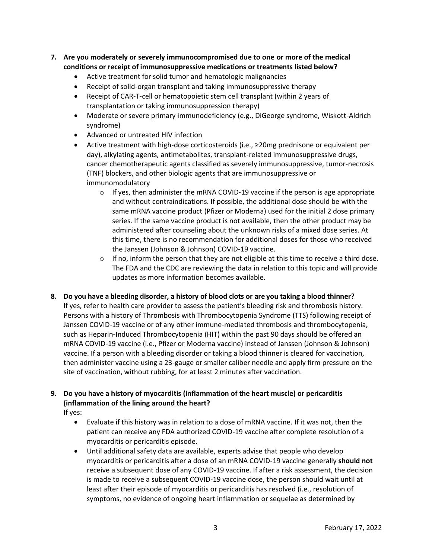- **7. Are you moderately or severely immunocompromised due to one or more of the medical conditions or receipt of immunosuppressive medications or treatments listed below?**
	- Active treatment for solid tumor and hematologic malignancies
	- Receipt of solid-organ transplant and taking immunosuppressive therapy
	- Receipt of CAR-T-cell or hematopoietic stem cell transplant (within 2 years of transplantation or taking immunosuppression therapy)
	- Moderate or severe primary immunodeficiency (e.g., DiGeorge syndrome, Wiskott-Aldrich syndrome)
	- Advanced or untreated HIV infection
	- Active treatment with high-dose corticosteroids (i.e., ≥20mg prednisone or equivalent per day), alkylating agents, antimetabolites, transplant-related immunosuppressive drugs, cancer chemotherapeutic agents classified as severely immunosuppressive, tumor-necrosis (TNF) blockers, and other biologic agents that are immunosuppressive or immunomodulatory
		- $\circ$  If yes, then administer the mRNA COVID-19 vaccine if the person is age appropriate and without contraindications. If possible, the additional dose should be with the same mRNA vaccine product (Pfizer or Moderna) used for the initial 2 dose primary series. If the same vaccine product is not available, then the other product may be administered after counseling about the unknown risks of a mixed dose series. At this time, there is no recommendation for additional doses for those who received the Janssen (Johnson & Johnson) COVID-19 vaccine.
		- $\circ$  If no, inform the person that they are not eligible at this time to receive a third dose. The FDA and the CDC are reviewing the data in relation to this topic and will provide updates as more information becomes available.
- **8. Do you have a bleeding disorder, a history of blood clots or are you taking a blood thinner?**

If yes, refer to health care provider to assess the patient's bleeding risk and thrombosis history. Persons with a history of Thrombosis with Thrombocytopenia Syndrome (TTS) following receipt of Janssen COVID-19 vaccine or of any other immune-mediated thrombosis and thrombocytopenia, such as Heparin-Induced Thrombocytopenia (HIT) within the past 90 days should be offered an mRNA COVID-19 vaccine (i.e., Pfizer or Moderna vaccine) instead of Janssen (Johnson & Johnson) vaccine. If a person with a bleeding disorder or taking a blood thinner is cleared for vaccination, then administer vaccine using a 23-gauge or smaller caliber needle and apply firm pressure on the site of vaccination, without rubbing, for at least 2 minutes after vaccination.

# **9. Do you have a history of myocarditis (inflammation of the heart muscle) or pericarditis (inflammation of the lining around the heart?**

If yes:

- Evaluate if this history was in relation to a dose of mRNA vaccine. If it was not, then the patient can receive any FDA authorized COVID-19 vaccine after complete resolution of a myocarditis or pericarditis episode.
- Until additional safety data are available, experts advise that people who develop myocarditis or pericarditis after a dose of an mRNA COVID-19 vaccine generally **should not** receive a subsequent dose of any COVID-19 vaccine. If after a risk assessment, the decision is made to receive a subsequent COVID-19 vaccine dose, the person should wait until at least after their episode of myocarditis or pericarditis has resolved (i.e., resolution of symptoms, no evidence of ongoing heart inflammation or sequelae as determined by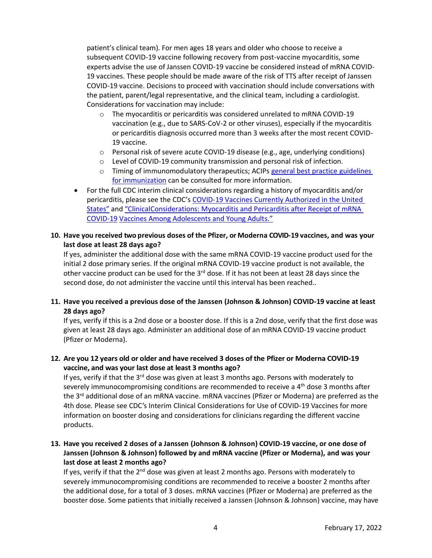patient's clinical team). For men ages 18 years and older who choose to receive a subsequent COVID-19 vaccine following recovery from post-vaccine myocarditis, some experts advise the use of Janssen COVID-19 vaccine be considered instead of mRNA COVID-19 vaccines. These people should be made aware of the risk of TTS after receipt of Janssen COVID-19 vaccine. Decisions to proceed with vaccination should include conversations with the patient, parent/legal representative, and the clinical team, including a cardiologist. Considerations for vaccination may include:

- o The myocarditis or pericarditis was considered unrelated to mRNA COVID-19 vaccination (e.g., due to SARS-CoV-2 or other viruses), especially if the myocarditis or pericarditis diagnosis occurred more than 3 weeks after the most recent COVID-19 vaccine.
- $\circ$  Personal risk of severe acute COVID-19 disease (e.g., age, underlying conditions)
- $\circ$  Level of COVID-19 community transmission and personal risk of infection.
- o Timing of immunomodulatory therapeutics; ACIPs [general best practice](https://www.cdc.gov/vaccines/hcp/acip-recs/general-recs/index.html) [guidelines](https://www.cdc.gov/vaccines/hcp/acip-recs/general-recs/index.html) for [immunization](https://www.cdc.gov/vaccines/hcp/acip-recs/general-recs/index.html) can be consulted for more information.
- For the full CDC interim clinical considerations regarding a history of myocarditis and/or pericarditis, please see the CDC's COVID-19 Vaccines Currently Authorized in the United States" and "ClinicalConsiderations: Myocarditis and Pericarditis after Receipt of mRNA COVID-19 Vaccines Among Adolescents and Young Adults."
- **10. Have you received two previous doses of the Pfizer, or Moderna COVID-19 vaccines, and was your last dose at least 28 days ago?**

If yes, administer the additional dose with the same mRNA COVID-19 vaccine product used for the initial 2 dose primary series. If the original mRNA COVID-19 vaccine product is not available, the other vaccine product can be used for the 3<sup>rd</sup> dose. If it has not been at least 28 days since the second dose, do not administer the vaccine until this interval has been reached..

### **11. Have you received a previous dose of the Janssen (Johnson & Johnson) COVID-19 vaccine at least 28 days ago?**

If yes, verify if this is a 2nd dose or a booster dose. If this is a 2nd dose, verify that the first dose was given at least 28 days ago. Administer an additional dose of an mRNA COVID-19 vaccine product (Pfizer or Moderna).

### **12. Are you 12 years old or older and have received 3 doses of the Pfizer or Moderna COVID-19 vaccine, and was your last dose at least 3 months ago?**

If yes, verify if that the  $3^{rd}$  dose was given at least 3 months ago. Persons with moderately to severely immunocompromising conditions are recommended to receive a 4<sup>th</sup> dose 3 months after the 3<sup>rd</sup> additional dose of an mRNA vaccine. mRNA vaccines (Pfizer or Moderna) are preferred as the 4th dose. Please see CDC's Interim Clinical Considerations for Use of COVID-19 Vaccines for more information on booster dosing and considerations for clinicians regarding the different vaccine products.

## **13. Have you received 2 doses of a Janssen (Johnson & Johnson) COVID-19 vaccine, or one dose of Janssen (Johnson & Johnson) followed by and mRNA vaccine (Pfizer or Moderna), and was your last dose at least 2 months ago?**

If yes, verify if that the  $2^{nd}$  dose was given at least 2 months ago. Persons with moderately to severely immunocompromising conditions are recommended to receive a booster 2 months after the additional dose, for a total of 3 doses. mRNA vaccines (Pfizer or Moderna) are preferred as the booster dose. Some patients that initially received a Janssen (Johnson & Johnson) vaccine, may have